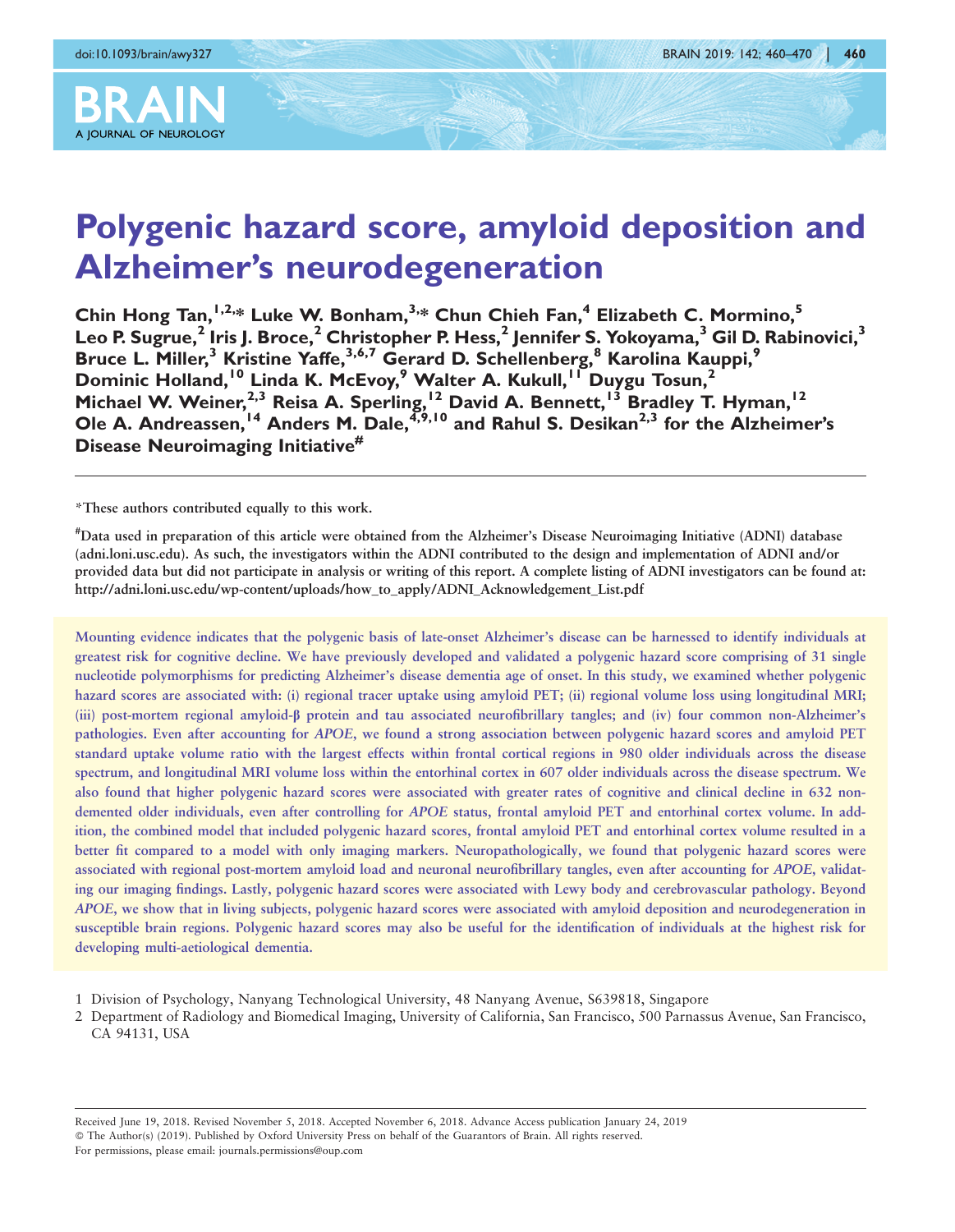

# Polygenic hazard score, amyloid deposition and Alzheimer's neurodegeneration

Chin Hong Tan,  $1,2,*$  Luke W. Bonham,  $3,*$  Chun Chieh Fan,  $4$  Elizabeth C. Mormino,  $5$ Leo P. Sugrue,<sup>2</sup> Iris J. Broce,<sup>2</sup> Christopher P. Hess,<sup>2</sup> Jennifer S. Yokoyama,<sup>3</sup> Gil D. Rabinovici,<sup>3</sup> Bruce L. Miller,<sup>3</sup> Kristine Yaffe,<sup>3,6,7</sup> Gerard D. Schellenberg,<sup>8</sup> Karolina Kauppi,<sup>9</sup> Dominic Holland,<sup>10</sup> Linda K. McEvoy,<sup>9</sup> Walter A. Kukull,<sup>11</sup> Duygu Tosun,<sup>2</sup> Michael W. Weiner,<sup>2,3</sup> Reisa A. Sperling, <sup>12</sup> David A. Bennett, <sup>13</sup> Bradley T. Hyman, <sup>12</sup> Ole A. Andreassen,  $14$  Anders M. Dale,  $4,9,10$  and Rahul S. Desikan<sup>2,3</sup> for the Alzheimer's Disease Neuroimaging Initiative<sup>#</sup>

\*These authors contributed equally to this work.

# Data used in preparation of this article were obtained from the Alzheimer's Disease Neuroimaging Initiative (ADNI) database (adni.loni.usc.edu). As such, the investigators within the ADNI contributed to the design and implementation of ADNI and/or provided data but did not participate in analysis or writing of this report. A complete listing of ADNI investigators can be found at: [http://adni.loni.usc.edu/wp-content/uploads/how\\_to\\_apply/ADNI\\_Acknowledgement\\_List.pdf](XPath error Undefined namespace prefix)

Mounting evidence indicates that the polygenic basis of late-onset Alzheimer's disease can be harnessed to identify individuals at greatest risk for cognitive decline. We have previously developed and validated a polygenic hazard score comprising of 31 single nucleotide polymorphisms for predicting Alzheimer's disease dementia age of onset. In this study, we examined whether polygenic hazard scores are associated with: (i) regional tracer uptake using amyloid PET; (ii) regional volume loss using longitudinal MRI; (iii) post-mortem regional amyloid-b protein and tau associated neurofibrillary tangles; and (iv) four common non-Alzheimer's pathologies. Even after accounting for APOE, we found a strong association between polygenic hazard scores and amyloid PET standard uptake volume ratio with the largest effects within frontal cortical regions in 980 older individuals across the disease spectrum, and longitudinal MRI volume loss within the entorhinal cortex in 607 older individuals across the disease spectrum. We also found that higher polygenic hazard scores were associated with greater rates of cognitive and clinical decline in 632 nondemented older individuals, even after controlling for APOE status, frontal amyloid PET and entorhinal cortex volume. In addition, the combined model that included polygenic hazard scores, frontal amyloid PET and entorhinal cortex volume resulted in a better fit compared to a model with only imaging markers. Neuropathologically, we found that polygenic hazard scores were associated with regional post-mortem amyloid load and neuronal neurofibrillary tangles, even after accounting for APOE, validating our imaging findings. Lastly, polygenic hazard scores were associated with Lewy body and cerebrovascular pathology. Beyond APOE, we show that in living subjects, polygenic hazard scores were associated with amyloid deposition and neurodegeneration in susceptible brain regions. Polygenic hazard scores may also be useful for the identification of individuals at the highest risk for developing multi-aetiological dementia.

<sup>1</sup> Division of Psychology, Nanyang Technological University, 48 Nanyang Avenue, S639818, Singapore

<sup>2</sup> Department of Radiology and Biomedical Imaging, University of California, San Francisco, 500 Parnassus Avenue, San Francisco, CA 94131, USA

Received June 19, 2018. Revised November 5, 2018. Accepted November 6, 2018. Advance Access publication January 24, 2019 - The Author(s) (2019). Published by Oxford University Press on behalf of the Guarantors of Brain. All rights reserved. For permissions, please email: journals.permissions@oup.com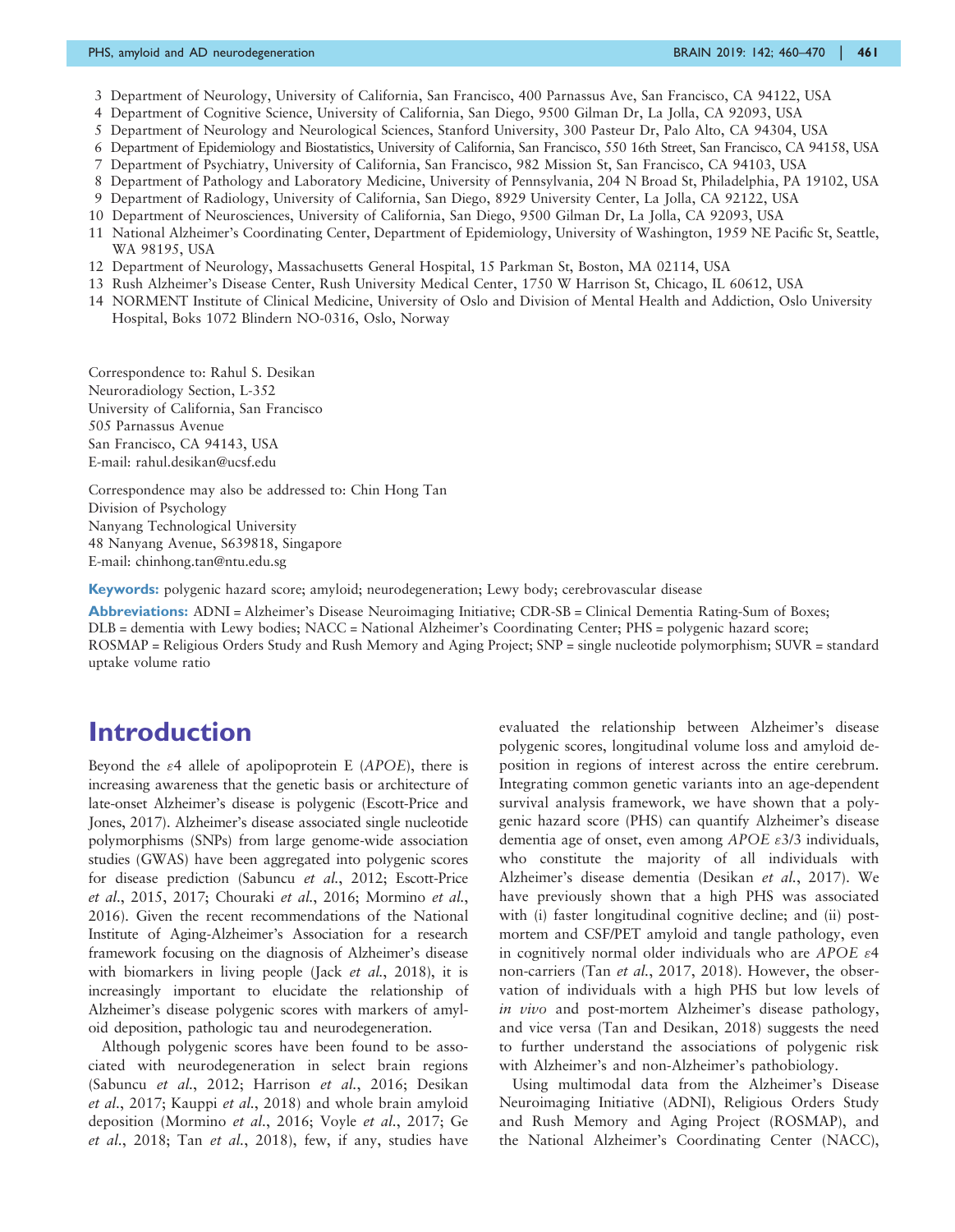- 3 Department of Neurology, University of California, San Francisco, 400 Parnassus Ave, San Francisco, CA 94122, USA
- 4 Department of Cognitive Science, University of California, San Diego, 9500 Gilman Dr, La Jolla, CA 92093, USA
- 5 Department of Neurology and Neurological Sciences, Stanford University, 300 Pasteur Dr, Palo Alto, CA 94304, USA
- 6 Department of Epidemiology and Biostatistics, University of California, San Francisco, 550 16th Street, San Francisco, CA 94158, USA
- 7 Department of Psychiatry, University of California, San Francisco, 982 Mission St, San Francisco, CA 94103, USA
- 8 Department of Pathology and Laboratory Medicine, University of Pennsylvania, 204 N Broad St, Philadelphia, PA 19102, USA
- 9 Department of Radiology, University of California, San Diego, 8929 University Center, La Jolla, CA 92122, USA
- 10 Department of Neurosciences, University of California, San Diego, 9500 Gilman Dr, La Jolla, CA 92093, USA
- 11 National Alzheimer's Coordinating Center, Department of Epidemiology, University of Washington, 1959 NE Pacific St, Seattle, WA 98195, USA
- 12 Department of Neurology, Massachusetts General Hospital, 15 Parkman St, Boston, MA 02114, USA
- 13 Rush Alzheimer's Disease Center, Rush University Medical Center, 1750 W Harrison St, Chicago, IL 60612, USA
- 14 NORMENT Institute of Clinical Medicine, University of Oslo and Division of Mental Health and Addiction, Oslo University Hospital, Boks 1072 Blindern NO-0316, Oslo, Norway

Correspondence to: Rahul S. Desikan Neuroradiology Section, L-352 University of California, San Francisco 505 Parnassus Avenue San Francisco, CA 94143, USA E-mail: rahul.desikan@ucsf.edu

Correspondence may also be addressed to: Chin Hong Tan Division of Psychology Nanyang Technological University 48 Nanyang Avenue, S639818, Singapore E-mail: chinhong.tan@ntu.edu.sg

Keywords: polygenic hazard score; amyloid; neurodegeneration; Lewy body; cerebrovascular disease

Abbreviations: ADNI = Alzheimer's Disease Neuroimaging Initiative; CDR-SB = Clinical Dementia Rating-Sum of Boxes; DLB = dementia with Lewy bodies; NACC = National Alzheimer's Coordinating Center; PHS = polygenic hazard score; ROSMAP = Religious Orders Study and Rush Memory and Aging Project; SNP = single nucleotide polymorphism; SUVR = standard uptake volume ratio

# Introduction

Beyond the  $\varepsilon$ 4 allele of apolipoprotein E (APOE), there is increasing awareness that the genetic basis or architecture of late-onset Alzheimer's disease is polygenic [\(Escott-Price and](#page-9-0) [Jones, 2017\)](#page-9-0). Alzheimer's disease associated single nucleotide polymorphisms (SNPs) from large genome-wide association studies (GWAS) have been aggregated into polygenic scores for disease prediction ([Sabuncu](#page-10-0) et al., 2012; Escott-Price et al., 2015, 2017; [Chouraki](#page-9-0) et al., 2016; [Mormino](#page-10-0) et al., [2016](#page-10-0)). Given the recent recommendations of the National Institute of Aging-Alzheimer's Association for a research framework focusing on the diagnosis of Alzheimer's disease with biomarkers in living people (Jack *et al.*[, 2018\)](#page-10-0), it is increasingly important to elucidate the relationship of Alzheimer's disease polygenic scores with markers of amyloid deposition, pathologic tau and neurodegeneration.

Although polygenic scores have been found to be associated with neurodegeneration in select brain regions ([Sabuncu](#page-10-0) et al., 2012; [Harrison](#page-10-0) et al., 2016; [Desikan](#page-9-0) et al.[, 2017;](#page-9-0) [Kauppi](#page-10-0) et al., 2018) and whole brain amyloid deposition [\(Mormino](#page-10-0) et al., 2016; Voyle et al.[, 2017](#page-10-0); [Ge](#page-9-0) et al.[, 2018;](#page-9-0) Tan et al.[, 2018\)](#page-10-0), few, if any, studies have

evaluated the relationship between Alzheimer's disease polygenic scores, longitudinal volume loss and amyloid deposition in regions of interest across the entire cerebrum. Integrating common genetic variants into an age-dependent survival analysis framework, we have shown that a polygenic hazard score (PHS) can quantify Alzheimer's disease dementia age of onset, even among  $APOE$   $\varepsilon$ 3/3 individuals, who constitute the majority of all individuals with Alzheimer's disease dementia [\(Desikan](#page-9-0) et al., 2017). We have previously shown that a high PHS was associated with (i) faster longitudinal cognitive decline; and (ii) postmortem and CSF/PET amyloid and tangle pathology, even in cognitively normal older individuals who are APOE  $\varepsilon$ 4 non-carriers (Tan et al.[, 2017, 2018\)](#page-10-0). However, the observation of individuals with a high PHS but low levels of in vivo and post-mortem Alzheimer's disease pathology, and vice versa ([Tan and Desikan, 2018\)](#page-10-0) suggests the need to further understand the associations of polygenic risk with Alzheimer's and non-Alzheimer's pathobiology.

Using multimodal data from the Alzheimer's Disease Neuroimaging Initiative (ADNI), Religious Orders Study and Rush Memory and Aging Project (ROSMAP), and the National Alzheimer's Coordinating Center (NACC),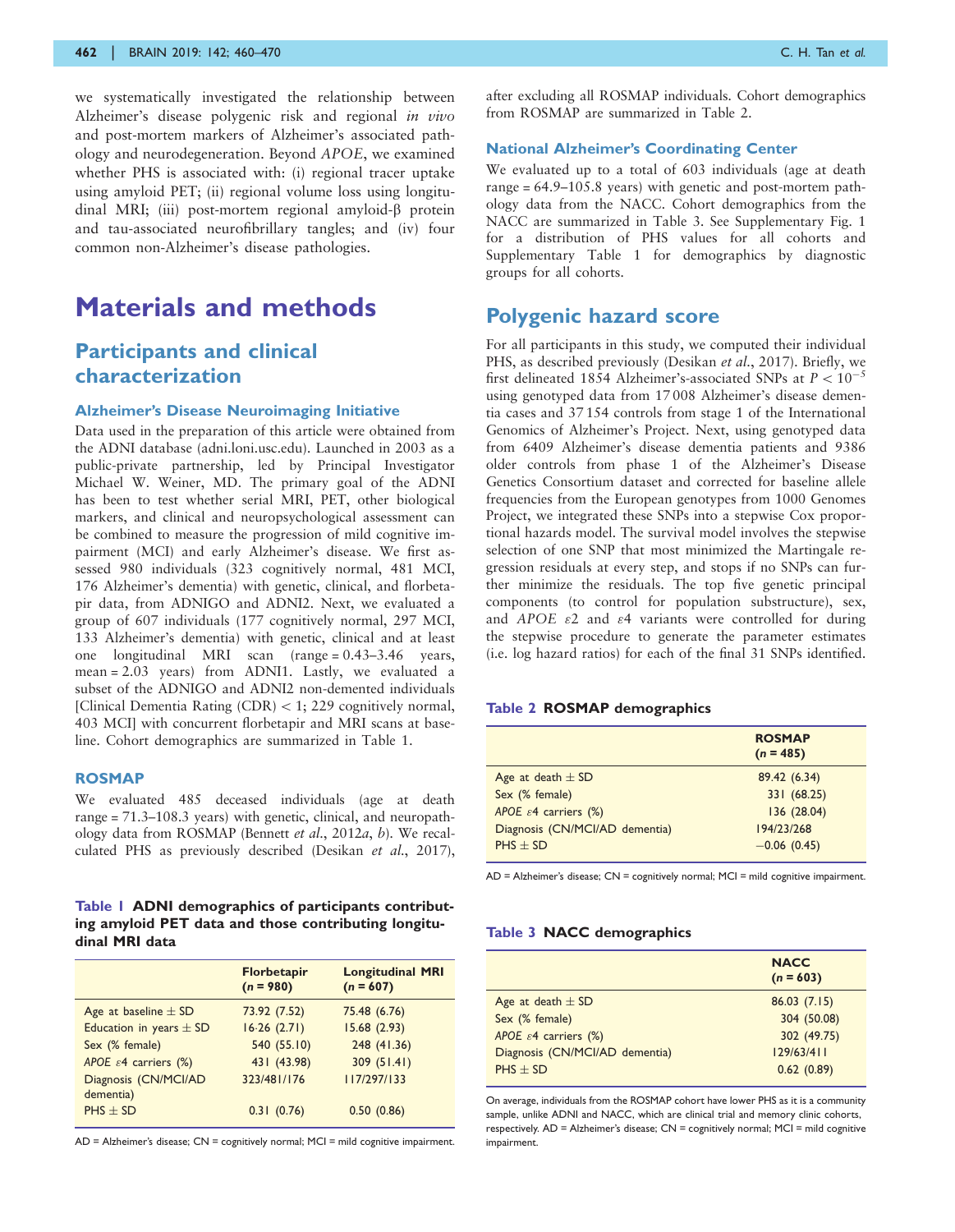<span id="page-2-0"></span>we systematically investigated the relationship between Alzheimer's disease polygenic risk and regional in vivo and post-mortem markers of Alzheimer's associated pathology and neurodegeneration. Beyond APOE, we examined whether PHS is associated with: (i) regional tracer uptake using amyloid PET; (ii) regional volume loss using longitudinal MRI; (iii) post-mortem regional amyloid- $\beta$  protein and tau-associated neurofibrillary tangles; and (iv) four common non-Alzheimer's disease pathologies.

# Materials and methods

### Participants and clinical characterization

#### Alzheimer's Disease Neuroimaging Initiative

Data used in the preparation of this article were obtained from the ADNI database (adni.loni.usc.edu). Launched in 2003 as a public-private partnership, led by Principal Investigator Michael W. Weiner, MD. The primary goal of the ADNI has been to test whether serial MRI, PET, other biological markers, and clinical and neuropsychological assessment can be combined to measure the progression of mild cognitive impairment (MCI) and early Alzheimer's disease. We first assessed 980 individuals (323 cognitively normal, 481 MCI, 176 Alzheimer's dementia) with genetic, clinical, and florbetapir data, from ADNIGO and ADNI2. Next, we evaluated a group of 607 individuals (177 cognitively normal, 297 MCI, 133 Alzheimer's dementia) with genetic, clinical and at least one longitudinal MRI scan (range = 0.43–3.46 years, mean = 2.03 years) from ADNI1. Lastly, we evaluated a subset of the ADNIGO and ADNI2 non-demented individuals [Clinical Dementia Rating  $(CDR) < 1$ ; 229 cognitively normal, 403 MCI] with concurrent florbetapir and MRI scans at baseline. Cohort demographics are summarized in Table 1.

#### **ROSMAP**

We evaluated 485 deceased individuals (age at death range = 71.3–108.3 years) with genetic, clinical, and neuropathology data from ROSMAP [\(Bennett](#page-9-0) et al., 2012a, [b](#page-9-0)). We recalculated PHS as previously described ([Desikan](#page-9-0) et al., 2017),

#### Table 1 ADNI demographics of participants contributing amyloid PET data and those contributing longitudinal MRI data

|                                   | Florbetapir<br>$(n = 980)$ | <b>Longitudinal MRI</b><br>$(n = 607)$ |
|-----------------------------------|----------------------------|----------------------------------------|
| Age at baseline $\pm$ SD          | 73.92 (7.52)               | 75.48 (6.76)                           |
| Education in years $\pm$ SD       | 16.26(2.71)                | 15.68(2.93)                            |
| Sex (% female)                    | 540 (55.10)                | 248 (41.36)                            |
| APOE $\epsilon$ 4 carriers (%)    | 431 (43.98)                | 309 (51.41)                            |
| Diagnosis (CN/MCI/AD<br>dementia) | 323/481/176                | 117/297/133                            |
| $PHS \pm SD$                      | 0.31(0.76)                 | 0.50(0.86)                             |

AD = Alzheimer's disease; CN = cognitively normal; MCI = mild cognitive impairment.

after excluding all ROSMAP individuals. Cohort demographics from ROSMAP are summarized in Table 2.

#### National Alzheimer's Coordinating Center

We evaluated up to a total of 603 individuals (age at death range = 64.9–105.8 years) with genetic and post-mortem pathology data from the NACC. Cohort demographics from the NACC are summarized in Table 3. See [Supplementary Fig. 1](https://academic.oup.com/brainj/article-lookup/doi/10.1093/brainj/awy327#supplementary-data) for a distribution of PHS values for all cohorts and [Supplementary Table 1](https://academic.oup.com/brainj/article-lookup/doi/10.1093/brainj/awy327#supplementary-data) for demographics by diagnostic groups for all cohorts.

### Polygenic hazard score

For all participants in this study, we computed their individual PHS, as described previously [\(Desikan](#page-9-0) et al., 2017). Briefly, we first delineated 1854 Alzheimer's-associated SNPs at  $P < 10^{-5}$ using genotyped data from 17 008 Alzheimer's disease dementia cases and 37 154 controls from stage 1 of the International Genomics of Alzheimer's Project. Next, using genotyped data from 6409 Alzheimer's disease dementia patients and 9386 older controls from phase 1 of the Alzheimer's Disease Genetics Consortium dataset and corrected for baseline allele frequencies from the European genotypes from 1000 Genomes Project, we integrated these SNPs into a stepwise Cox proportional hazards model. The survival model involves the stepwise selection of one SNP that most minimized the Martingale regression residuals at every step, and stops if no SNPs can further minimize the residuals. The top five genetic principal components (to control for population substructure), sex, and APOE  $\epsilon$ 2 and  $\epsilon$ 4 variants were controlled for during the stepwise procedure to generate the parameter estimates (i.e. log hazard ratios) for each of the final 31 SNPs identified.

#### Table 2 ROSMAP demographics

|                                | <b>ROSMAP</b><br>$(n = 485)$ |
|--------------------------------|------------------------------|
| Age at death $\pm$ SD          | 89.42 (6.34)                 |
| Sex (% female)                 | 331 (68.25)                  |
| APOE $\epsilon$ 4 carriers (%) | 136 (28.04)                  |
| Diagnosis (CN/MCI/AD dementia) | 194/23/268                   |
| $PHS + SD$                     | $-0.06(0.45)$                |
|                                |                              |

 $AD =$  Alzheimer's disease;  $CN =$  cognitively normal;  $MC =$  mild cognitive impairment.

#### Table 3 NACC demographics

|                                | <b>NACC</b><br>$(n = 603)$ |
|--------------------------------|----------------------------|
| Age at death $\pm$ SD          | 86.03(7.15)                |
| Sex (% female)                 | 304 (50.08)                |
| APOE $\epsilon$ 4 carriers (%) | 302 (49.75)                |
| Diagnosis (CN/MCI/AD dementia) | 129/63/411                 |
| $PHS + SD$                     | 0.62(0.89)                 |

On average, individuals from the ROSMAP cohort have lower PHS as it is a community sample, unlike ADNI and NACC, which are clinical trial and memory clinic cohorts, respectively. AD = Alzheimer's disease; CN = cognitively normal; MCI = mild cognitive impairment.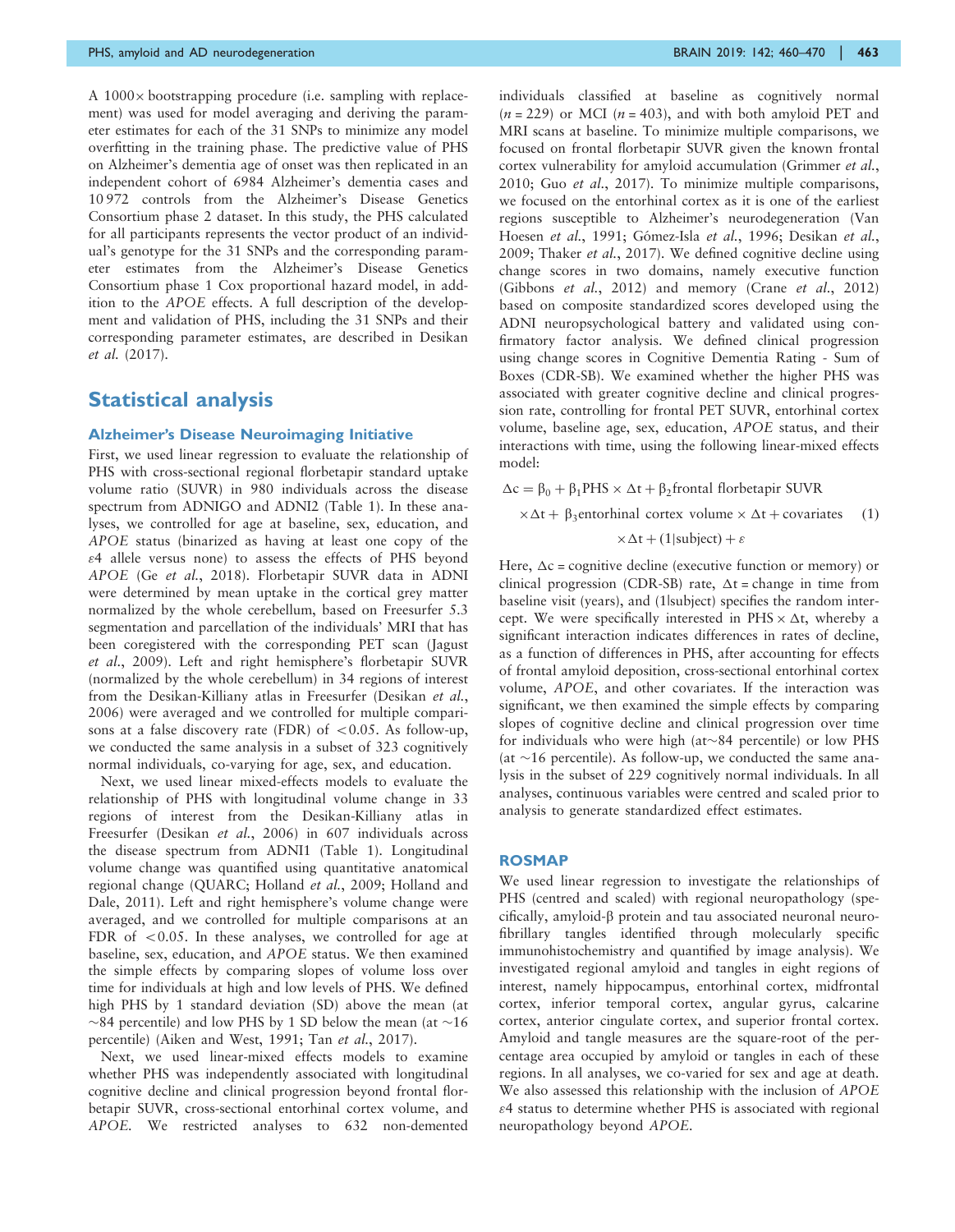A  $1000 \times$  bootstrapping procedure (i.e. sampling with replacement) was used for model averaging and deriving the parameter estimates for each of the 31 SNPs to minimize any model overfitting in the training phase. The predictive value of PHS on Alzheimer's dementia age of onset was then replicated in an independent cohort of 6984 Alzheimer's dementia cases and 10 972 controls from the Alzheimer's Disease Genetics Consortium phase 2 dataset. In this study, the PHS calculated for all participants represents the vector product of an individual's genotype for the 31 SNPs and the corresponding parameter estimates from the Alzheimer's Disease Genetics Consortium phase 1 Cox proportional hazard model, in addition to the APOE effects. A full description of the development and validation of PHS, including the 31 SNPs and their corresponding parameter estimates, are described in [Desikan](#page-9-0) et al. [\(2017\).](#page-9-0)

### Statistical analysis

#### Alzheimer's Disease Neuroimaging Initiative

First, we used linear regression to evaluate the relationship of PHS with cross-sectional regional florbetapir standard uptake volume ratio (SUVR) in 980 individuals across the disease spectrum from ADNIGO and ADNI2 [\(Table 1](#page-2-0)). In these analyses, we controlled for age at baseline, sex, education, and APOE status (binarized as having at least one copy of the  $\varepsilon$ 4 allele versus none) to assess the effects of PHS beyond APOE (Ge et al.[, 2018](#page-9-0)). Florbetapir SUVR data in ADNI were determined by mean uptake in the cortical grey matter normalized by the whole cerebellum, based on Freesurfer 5.3 segmentation and parcellation of the individuals' MRI that has been coregistered with the corresponding PET scan ([Jagust](#page-10-0) et al.[, 2009\)](#page-10-0). Left and right hemisphere's florbetapir SUVR (normalized by the whole cerebellum) in 34 regions of interest from the Desikan-Killiany atlas in Freesurfer ([Desikan](#page-9-0) et al., [2006](#page-9-0)) were averaged and we controlled for multiple comparisons at a false discovery rate (FDR) of  $< 0.05$ . As follow-up, we conducted the same analysis in a subset of 323 cognitively normal individuals, co-varying for age, sex, and education.

Next, we used linear mixed-effects models to evaluate the relationship of PHS with longitudinal volume change in 33 regions of interest from the Desikan-Killiany atlas in Freesurfer [\(Desikan](#page-9-0) et al., 2006) in 607 individuals across the disease spectrum from ADNI1 [\(Table 1](#page-2-0)). Longitudinal volume change was quantified using quantitative anatomical regional change (QUARC; [Holland](#page-10-0) et al., 2009; [Holland and](#page-10-0) [Dale, 2011](#page-10-0)). Left and right hemisphere's volume change were averaged, and we controlled for multiple comparisons at an FDR of  $< 0.05$ . In these analyses, we controlled for age at baseline, sex, education, and APOE status. We then examined the simple effects by comparing slopes of volume loss over time for individuals at high and low levels of PHS. We defined high PHS by 1 standard deviation (SD) above the mean (at  $\sim$ 84 percentile) and low PHS by 1 SD below the mean (at  $\sim$ 16 percentile) ([Aiken and West, 1991](#page-9-0); Tan et al.[, 2017\)](#page-10-0).

Next, we used linear-mixed effects models to examine whether PHS was independently associated with longitudinal cognitive decline and clinical progression beyond frontal florbetapir SUVR, cross-sectional entorhinal cortex volume, and APOE. We restricted analyses to 632 non-demented

individuals classified at baseline as cognitively normal  $(n = 229)$  or MCI  $(n = 403)$ , and with both amyloid PET and MRI scans at baseline. To minimize multiple comparisons, we focused on frontal florbetapir SUVR given the known frontal cortex vulnerability for amyloid accumulation ([Grimmer](#page-10-0) et al., [2010](#page-10-0); Guo et al.[, 2017\)](#page-10-0). To minimize multiple comparisons, we focused on the entorhinal cortex as it is one of the earliest regions susceptible to Alzheimer's neurodegeneration ([Van](#page-10-0) [Hoesen](#page-10-0) et al., 1991; Gómez-Isla et al., 1996; [Desikan](#page-9-0) et al., [2009](#page-9-0); [Thaker](#page-10-0) et al., 2017). We defined cognitive decline using change scores in two domains, namely executive function [\(Gibbons](#page-9-0) et al., 2012) and memory (Crane et al.[, 2012\)](#page-9-0) based on composite standardized scores developed using the ADNI neuropsychological battery and validated using confirmatory factor analysis. We defined clinical progression using change scores in Cognitive Dementia Rating - Sum of Boxes (CDR-SB). We examined whether the higher PHS was associated with greater cognitive decline and clinical progression rate, controlling for frontal PET SUVR, entorhinal cortex volume, baseline age, sex, education, APOE status, and their interactions with time, using the following linear-mixed effects model:

 $\Delta c = \beta_0 + \beta_1 PHS \times \Delta t + \beta_2$ frontal florbetapir SUVR

 $\times \Delta t + \beta_3$ entorhinal cortex volume  $\times \Delta t +$  covariates ð1Þ

 $\times \Delta t + (1$ |subject) +  $\varepsilon$ 

Here,  $\Delta c$  = cognitive decline (executive function or memory) or clinical progression (CDR-SB) rate,  $\Delta t$  = change in time from baseline visit (years), and (1|subject) specifies the random intercept. We were specifically interested in  $PHS \times \Delta t$ , whereby a significant interaction indicates differences in rates of decline, as a function of differences in PHS, after accounting for effects of frontal amyloid deposition, cross-sectional entorhinal cortex volume, APOE, and other covariates. If the interaction was significant, we then examined the simple effects by comparing slopes of cognitive decline and clinical progression over time for individuals who were high (at $\sim$ 84 percentile) or low PHS (at  $\sim$ 16 percentile). As follow-up, we conducted the same analysis in the subset of 229 cognitively normal individuals. In all analyses, continuous variables were centred and scaled prior to analysis to generate standardized effect estimates.

#### ROSMAP

We used linear regression to investigate the relationships of PHS (centred and scaled) with regional neuropathology (specifically, amyloid- $\beta$  protein and tau associated neuronal neurofibrillary tangles identified through molecularly specific immunohistochemistry and quantified by image analysis). We investigated regional amyloid and tangles in eight regions of interest, namely hippocampus, entorhinal cortex, midfrontal cortex, inferior temporal cortex, angular gyrus, calcarine cortex, anterior cingulate cortex, and superior frontal cortex. Amyloid and tangle measures are the square-root of the percentage area occupied by amyloid or tangles in each of these regions. In all analyses, we co-varied for sex and age at death. We also assessed this relationship with the inclusion of APOE  $\varepsilon$ 4 status to determine whether PHS is associated with regional neuropathology beyond APOE.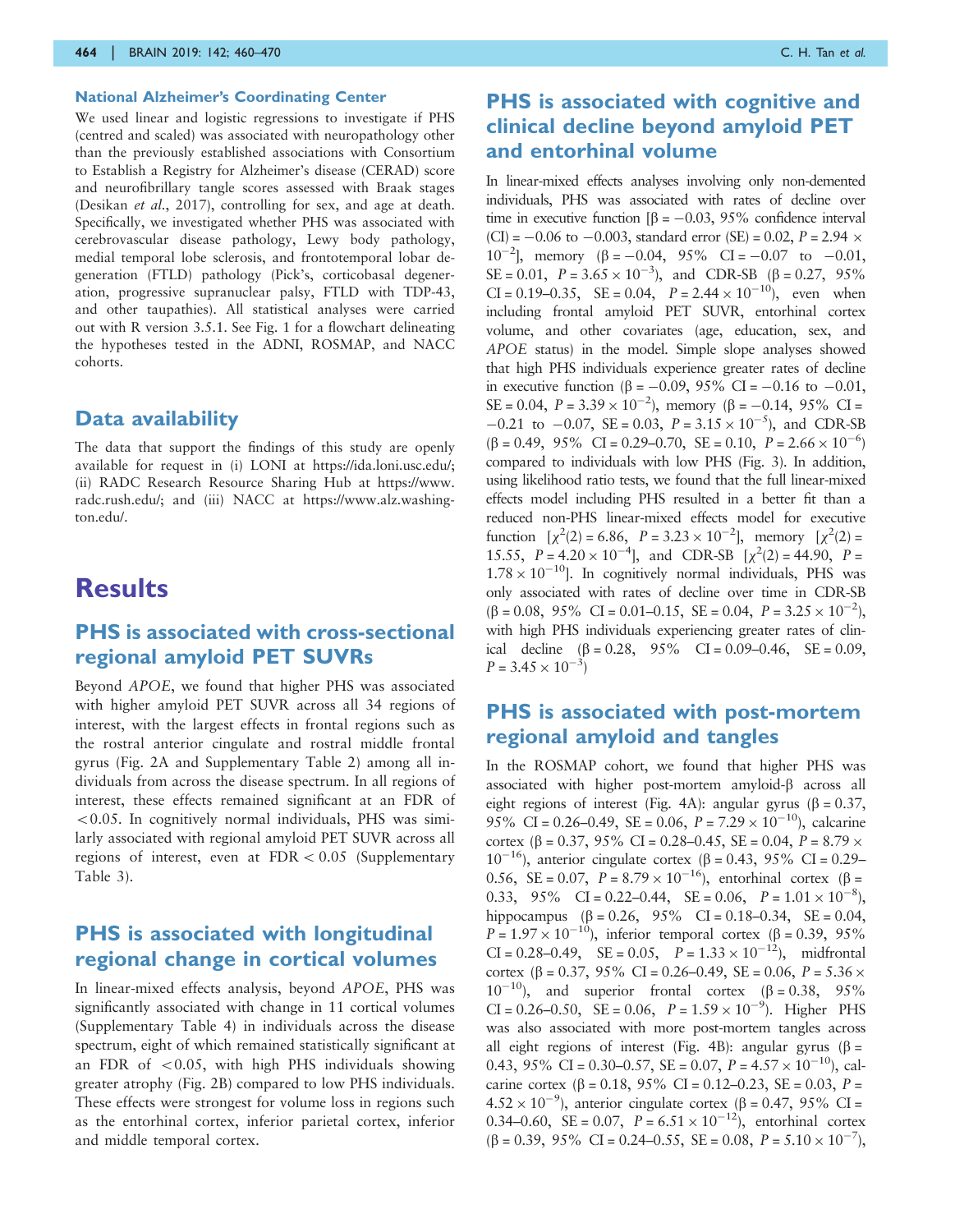#### National Alzheimer's Coordinating Center

We used linear and logistic regressions to investigate if PHS (centred and scaled) was associated with neuropathology other than the previously established associations with Consortium to Establish a Registry for Alzheimer's disease (CERAD) score and neurofibrillary tangle scores assessed with Braak stages [\(Desikan](#page-9-0) et al., 2017), controlling for sex, and age at death. Specifically, we investigated whether PHS was associated with cerebrovascular disease pathology, Lewy body pathology, medial temporal lobe sclerosis, and frontotemporal lobar degeneration (FTLD) pathology (Pick's, corticobasal degeneration, progressive supranuclear palsy, FTLD with TDP-43, and other taupathies). All statistical analyses were carried out with R version 3.5.1. See [Fig. 1](#page-5-0) for a flowchart delineating the hypotheses tested in the ADNI, ROSMAP, and NACC cohorts.

### Data availability

The data that support the findings of this study are openly available for request in (i) LONI at [https://ida.loni.usc.edu/;](https://ida.loni.usc.edu/) (ii) RADC Research Resource Sharing Hub at [https://www.](https://www.radc.rush.edu/) [radc.rush.edu/;](https://www.radc.rush.edu/) and (iii) NACC at [https://www.alz.washing](https://www.alz.washington.edu/)[ton.edu/.](https://www.alz.washington.edu/)

# **Results**

### PHS is associated with cross-sectional regional amyloid PET SUVRs

Beyond APOE, we found that higher PHS was associated with higher amyloid PET SUVR across all 34 regions of interest, with the largest effects in frontal regions such as the rostral anterior cingulate and rostral middle frontal gyrus [\(Fig. 2A](#page-6-0) and [Supplementary Table 2](https://academic.oup.com/brainj/article-lookup/doi/10.1093/brainj/awy327#supplementary-data)) among all individuals from across the disease spectrum. In all regions of interest, these effects remained significant at an FDR of  $50.05$ . In cognitively normal individuals, PHS was similarly associated with regional amyloid PET SUVR across all regions of interest, even at  $FDR < 0.05$  ([Supplementary](https://academic.oup.com/brainj/article-lookup/doi/10.1093/brainj/awy327#supplementary-data) [Table 3](https://academic.oup.com/brainj/article-lookup/doi/10.1093/brainj/awy327#supplementary-data)).

### PHS is associated with longitudinal regional change in cortical volumes

In linear-mixed effects analysis, beyond APOE, PHS was significantly associated with change in 11 cortical volumes [\(Supplementary Table 4\)](https://academic.oup.com/brainj/article-lookup/doi/10.1093/brainj/awy327#supplementary-data) in individuals across the disease spectrum, eight of which remained statistically significant at an FDR of  $< 0.05$ , with high PHS individuals showing greater atrophy [\(Fig. 2](#page-6-0)B) compared to low PHS individuals. These effects were strongest for volume loss in regions such as the entorhinal cortex, inferior parietal cortex, inferior and middle temporal cortex.

### PHS is associated with cognitive and clinical decline beyond amyloid PET and entorhinal volume

In linear-mixed effects analyses involving only non-demented individuals, PHS was associated with rates of decline over time in executive function  $\beta = -0.03, 95\%$  confidence interval (CI) =  $-0.06$  to  $-0.003$ , standard error (SE) = 0.02,  $P = 2.94 \times$  $10^{-2}$ ], memory (β = -0.04, 95% CI = -0.07 to -0.01, SE = 0.01,  $P = 3.65 \times 10^{-3}$ ), and CDR-SB ( $\beta = 0.27$ , 95%  $CI = 0.19 - 0.35$ ,  $SE = 0.04$ ,  $P = 2.44 \times 10^{-10}$ , even when including frontal amyloid PET SUVR, entorhinal cortex volume, and other covariates (age, education, sex, and APOE status) in the model. Simple slope analyses showed that high PHS individuals experience greater rates of decline in executive function ( $\beta = -0.09, 95\%$  CI = -0.16 to -0.01, SE = 0.04,  $P = 3.39 \times 10^{-2}$ , memory ( $\beta = -0.14$ , 95% CI =  $-0.21$  to  $-0.07$ , SE = 0.03, P = 3.15  $\times$  10<sup>-5</sup>), and CDR-SB  $(\beta = 0.49, 95\% \text{ CI} = 0.29 - 0.70, \text{SE} = 0.10, P = 2.66 \times 10^{-6})$ compared to individuals with low PHS ([Fig. 3](#page-7-0)). In addition, using likelihood ratio tests, we found that the full linear-mixed effects model including PHS resulted in a better fit than a reduced non-PHS linear-mixed effects model for executive function  $[\chi^2(2) = 6.86, P = 3.23 \times 10^{-2}]$ , memory  $[\chi^2(2) =$ 15.55,  $P = 4.20 \times 10^{-4}$ , and CDR-SB  $[\chi^2(2) = 44.90, P =$  $1.78 \times 10^{-10}$ ]. In cognitively normal individuals, PHS was only associated with rates of decline over time in CDR-SB  $(\beta = 0.08, 95\% \text{ CI} = 0.01 - 0.15, \text{ SE} = 0.04, P = 3.25 \times 10^{-2}),$ with high PHS individuals experiencing greater rates of clinical decline  $(\beta = 0.28, 95\% \text{ CI} = 0.09 - 0.46, \text{SE} = 0.09,$  $P = 3.45 \times 10^{-3}$ 

### PHS is associated with post-mortem regional amyloid and tangles

In the ROSMAP cohort, we found that higher PHS was associated with higher post-mortem amyloid-b across all eight regions of interest ([Fig. 4](#page-7-0)A): angular gyrus ( $\beta = 0.37$ , 95% CI = 0.26–0.49, SE = 0.06,  $P = 7.29 \times 10^{-10}$ ), calcarine cortex ( $\beta = 0.37$ , 95% CI = 0.28–0.45, SE = 0.04, P = 8.79  $\times$ 10<sup>-16</sup>), anterior cingulate cortex (β = 0.43, 95% CI = 0.29– 0.56, SE = 0.07,  $P = 8.79 \times 10^{-16}$ ), entorhinal cortex ( $\beta$  = 0.33, 95% CI = 0.22–0.44, SE = 0.06,  $P = 1.01 \times 10^{-8}$ ), hippocampus  $(\beta = 0.26, 95\% \text{ CI} = 0.18-0.34, \text{SE} = 0.04,$  $P = 1.97 \times 10^{-10}$ , inferior temporal cortex ( $\beta = 0.39, 95\%$  $CI = 0.28 - 0.49$ ,  $SE = 0.05$ ,  $P = 1.33 \times 10^{-12}$ , midfrontal cortex  $(\beta = 0.37, 95\% \text{ CI} = 0.26 - 0.49, \text{ SE} = 0.06, P = 5.36 \times$  $10^{-10}$ ), and superior frontal cortex ( $\beta = 0.38$ , 95%  $CI = 0.26 - 0.50$ ,  $SE = 0.06$ ,  $P = 1.59 \times 10^{-9}$ . Higher PHS was also associated with more post-mortem tangles across all eight regions of interest [\(Fig. 4B](#page-7-0)): angular gyrus ( $\beta$  = 0.43, 95% CI = 0.30–0.57, SE = 0.07,  $P = 4.57 \times 10^{-10}$ , calcarine cortex ( $\beta = 0.18$ , 95% CI = 0.12–0.23, SE = 0.03, P =  $4.52 \times 10^{-9}$ ), anterior cingulate cortex ( $\beta$  = 0.47, 95% CI = 0.34–0.60, SE = 0.07,  $P = 6.51 \times 10^{-12}$ , entorhinal cortex  $(\beta = 0.39, 95\% \text{ CI} = 0.24 - 0.55, \text{ SE} = 0.08, P = 5.10 \times 10^{-7}),$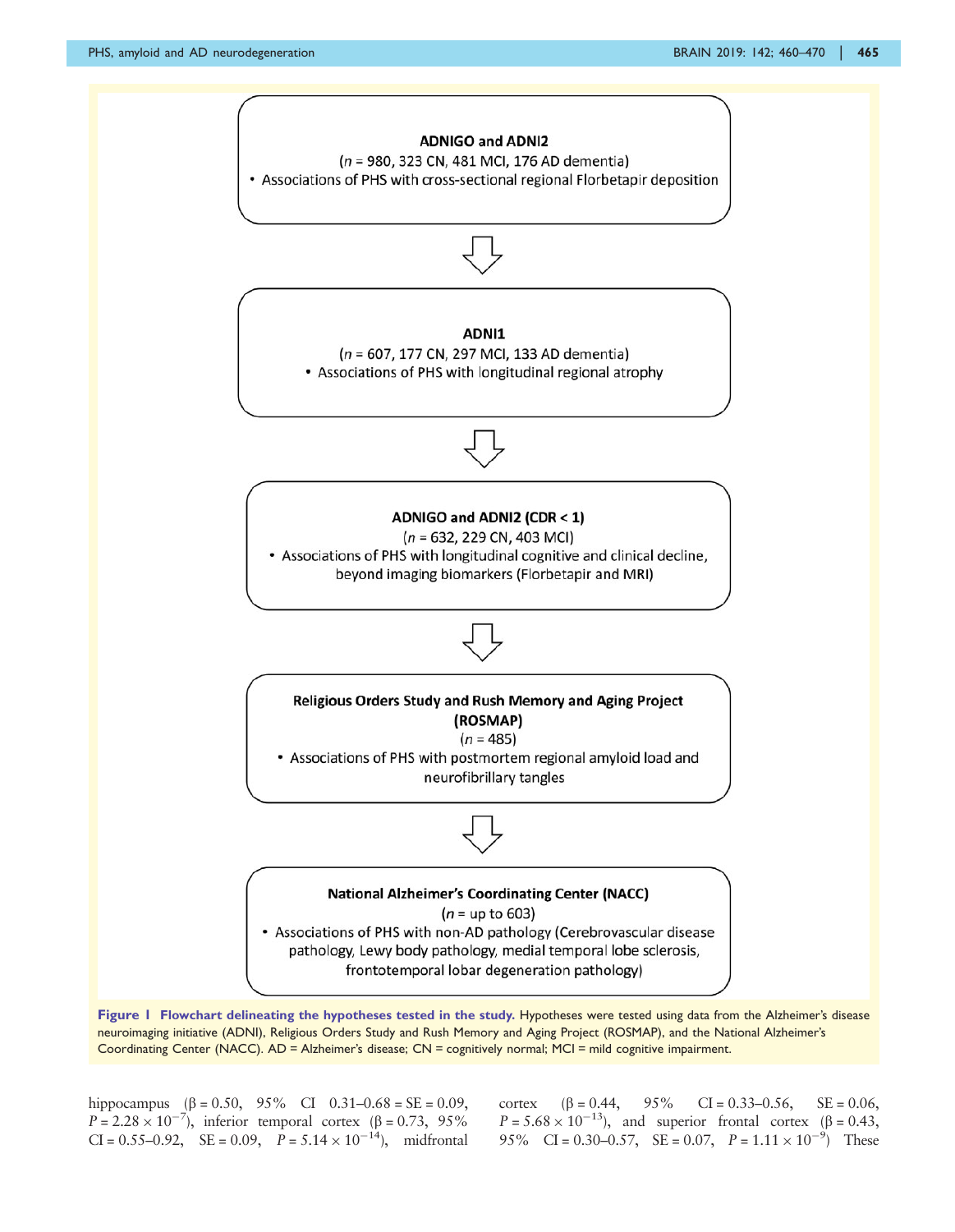<span id="page-5-0"></span>

Figure 1 Flowchart delineating the hypotheses tested in the study. Hypotheses were tested using data from the Alzheimer's disease neuroimaging initiative (ADNI), Religious Orders Study and Rush Memory and Aging Project (ROSMAP), and the National Alzheimer's Coordinating Center (NACC). AD = Alzheimer's disease; CN = cognitively normal; MCI = mild cognitive impairment.

hippocampus  $(\beta = 0.50, 95\% \text{ CI} 0.31-0.68 = \text{SE} = 0.09,$ 

 $P = 2.28 \times 10^{-7}$ ), inferior temporal cortex ( $\beta = 0.73$ ,  $95\%$   $P = 5.68 \times 10^{-13}$ ), and superior frontal cortex ( $\beta = 0.43$ , CI = 0.55–0.92, SE = 0.09,  $\overline{P} = 5.14 \times 10^{-14}$ , midfrontal 95% CI = 0.30–0.57, SE = 0.07,  $P = 1.11 \times 10^{-9}$ ) These cortex  $(\beta = 0.44, 95\% \text{ CI} = 0.33-0.56, \text{SE} = 0.06,$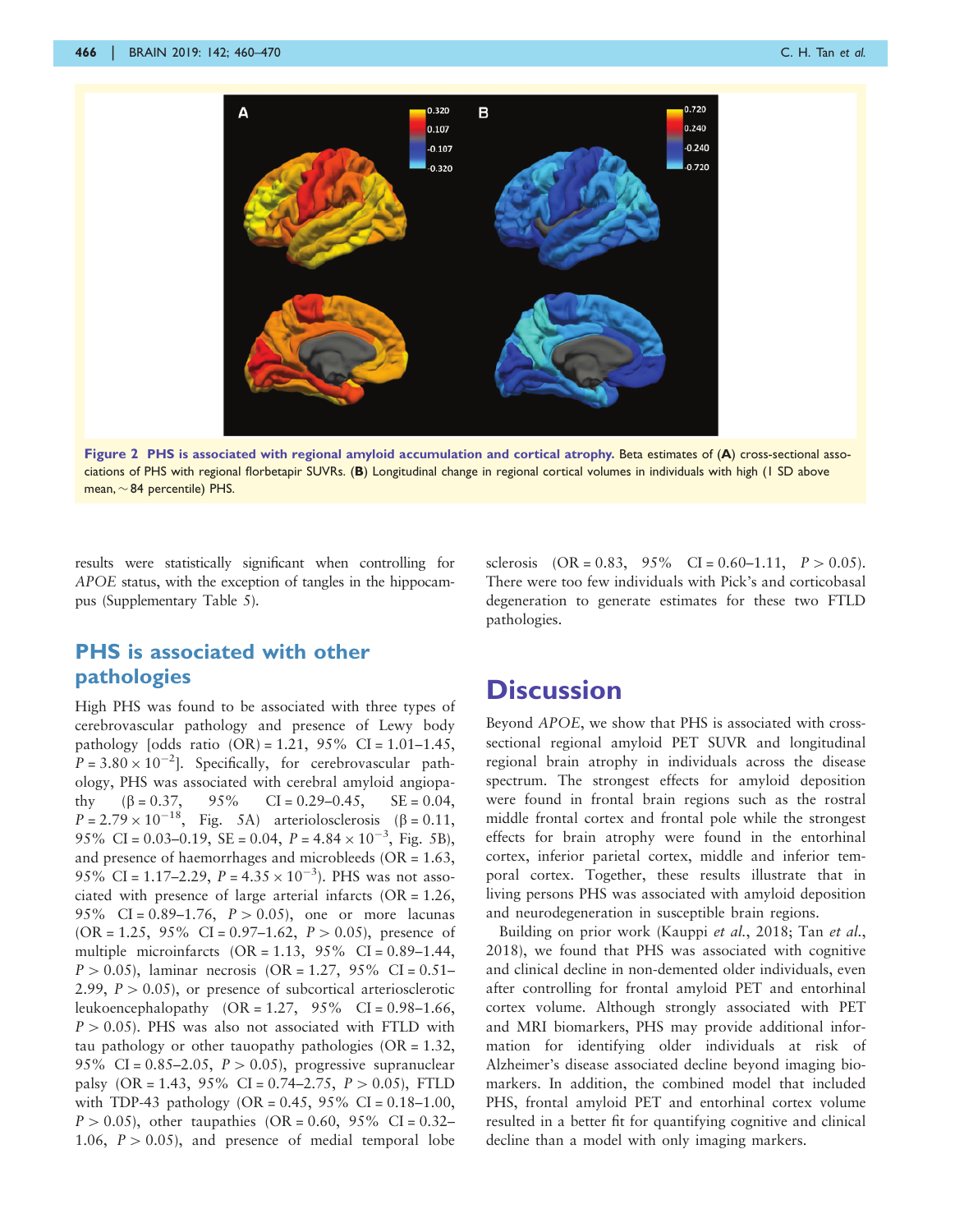<span id="page-6-0"></span>

Figure 2 PHS is associated with regional amyloid accumulation and cortical atrophy. Beta estimates of (A) cross-sectional associations of PHS with regional florbetapir SUVRs. (B) Longitudinal change in regional cortical volumes in individuals with high (1 SD above mean,  $\sim$  84 percentile) PHS.

results were statistically significant when controlling for APOE status, with the exception of tangles in the hippocampus [\(Supplementary Table 5](https://academic.oup.com/brainj/article-lookup/doi/10.1093/brainj/awy327#supplementary-data)).

sclerosis  $(OR = 0.83, 95\% \text{ CI} = 0.60-1.11, P > 0.05).$ There were too few individuals with Pick's and corticobasal degeneration to generate estimates for these two FTLD pathologies.

### PHS is associated with other pathologies

High PHS was found to be associated with three types of cerebrovascular pathology and presence of Lewy body pathology [odds ratio  $(OR) = 1.21$ , 95% CI = 1.01-1.45,  $P = 3.80 \times 10^{-2}$ . Specifically, for cerebrovascular pathology, PHS was associated with cerebral amyloid angiopathy  $(\beta = 0.37, 95\% \text{ CI} = 0.29 - 0.45, \text{SE} = 0.04,$  $P = 2.79 \times 10^{-18}$ , [Fig. 5](#page-8-0)A) arteriolosclerosis ( $\beta = 0.11$ , 95% CI = 0.03–0.19, SE = 0.04,  $P = 4.84 \times 10^{-3}$ , [Fig. 5B](#page-8-0)), and presence of haemorrhages and microbleeds (OR = 1.63, 95% CI = 1.17–2.29,  $P = 4.35 \times 10^{-3}$ ). PHS was not associated with presence of large arterial infarcts ( $OR = 1.26$ , 95% CI =  $0.89-1.76$ ,  $P > 0.05$ ), one or more lacunas (OR = 1.25, 95% CI = 0.97–1.62,  $P > 0.05$ ), presence of multiple microinfarcts  $(OR = 1.13, 95\% \text{ CI} = 0.89-1.44,$  $P > 0.05$ ), laminar necrosis (OR = 1.27, 95% CI = 0.51– 2.99,  $P > 0.05$ ), or presence of subcortical arteriosclerotic leukoencephalopathy  $(OR = 1.27, 95\% \text{ CI} = 0.98-1.66,$  $P > 0.05$ ). PHS was also not associated with FTLD with tau pathology or other tauopathy pathologies ( $OR = 1.32$ , 95% CI =  $0.85-2.05$ ,  $P > 0.05$ ), progressive supranuclear palsy (OR = 1.43, 95% CI = 0.74–2.75,  $P > 0.05$ ), FTLD with TDP-43 pathology (OR =  $0.45$ ,  $95\%$  CI =  $0.18-1.00$ ,  $P > 0.05$ ), other taupathies (OR = 0.60, 95% CI = 0.32– 1.06,  $P > 0.05$ ), and presence of medial temporal lobe

## **Discussion**

Beyond APOE, we show that PHS is associated with crosssectional regional amyloid PET SUVR and longitudinal regional brain atrophy in individuals across the disease spectrum. The strongest effects for amyloid deposition were found in frontal brain regions such as the rostral middle frontal cortex and frontal pole while the strongest effects for brain atrophy were found in the entorhinal cortex, inferior parietal cortex, middle and inferior temporal cortex. Together, these results illustrate that in living persons PHS was associated with amyloid deposition and neurodegeneration in susceptible brain regions.

Building on prior work ([Kauppi](#page-10-0) [et al.](#page-10-0), 2018; Tan et al., [2018\)](#page-10-0), we found that PHS was associated with cognitive and clinical decline in non-demented older individuals, even after controlling for frontal amyloid PET and entorhinal cortex volume. Although strongly associated with PET and MRI biomarkers, PHS may provide additional information for identifying older individuals at risk of Alzheimer's disease associated decline beyond imaging biomarkers. In addition, the combined model that included PHS, frontal amyloid PET and entorhinal cortex volume resulted in a better fit for quantifying cognitive and clinical decline than a model with only imaging markers.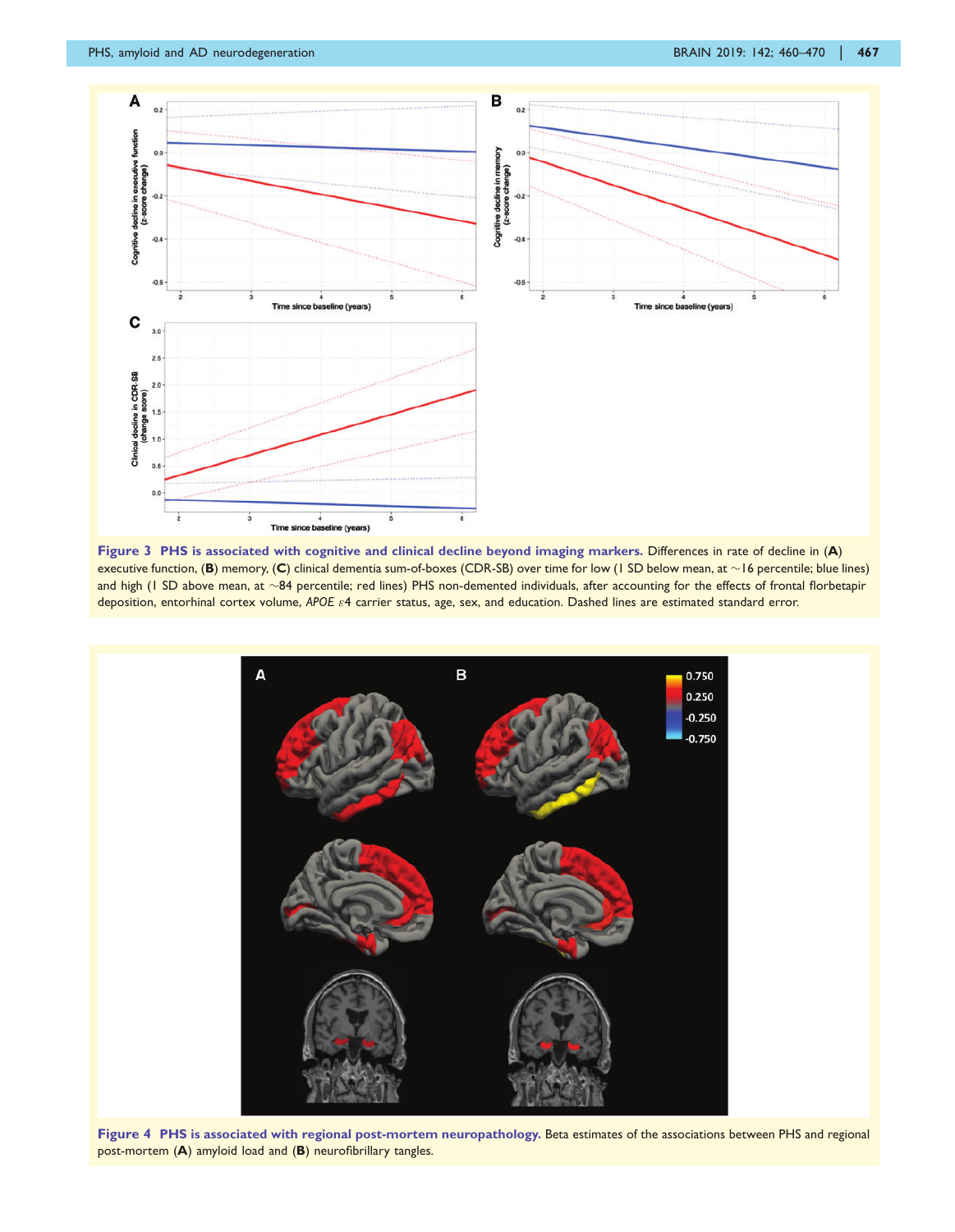<span id="page-7-0"></span>

Figure 3 PHS is associated with cognitive and clinical decline beyond imaging markers. Differences in rate of decline in (A) executive function, (B) memory, (C) clinical dementia sum-of-boxes (CDR-SB) over time for low (1 SD below mean, at  $\sim$  16 percentile; blue lines) and high (I SD above mean, at ~84 percentile; red lines) PHS non-demented individuals, after accounting for the effects of frontal florbetapir deposition, entorhinal cortex volume, APOE  $\varepsilon$ 4 carrier status, age, sex, and education. Dashed lines are estimated standard error.



Figure 4 PHS is associated with regional post-mortem neuropathology. Beta estimates of the associations between PHS and regional post-mortem (A) amyloid load and (B) neurofibrillary tangles.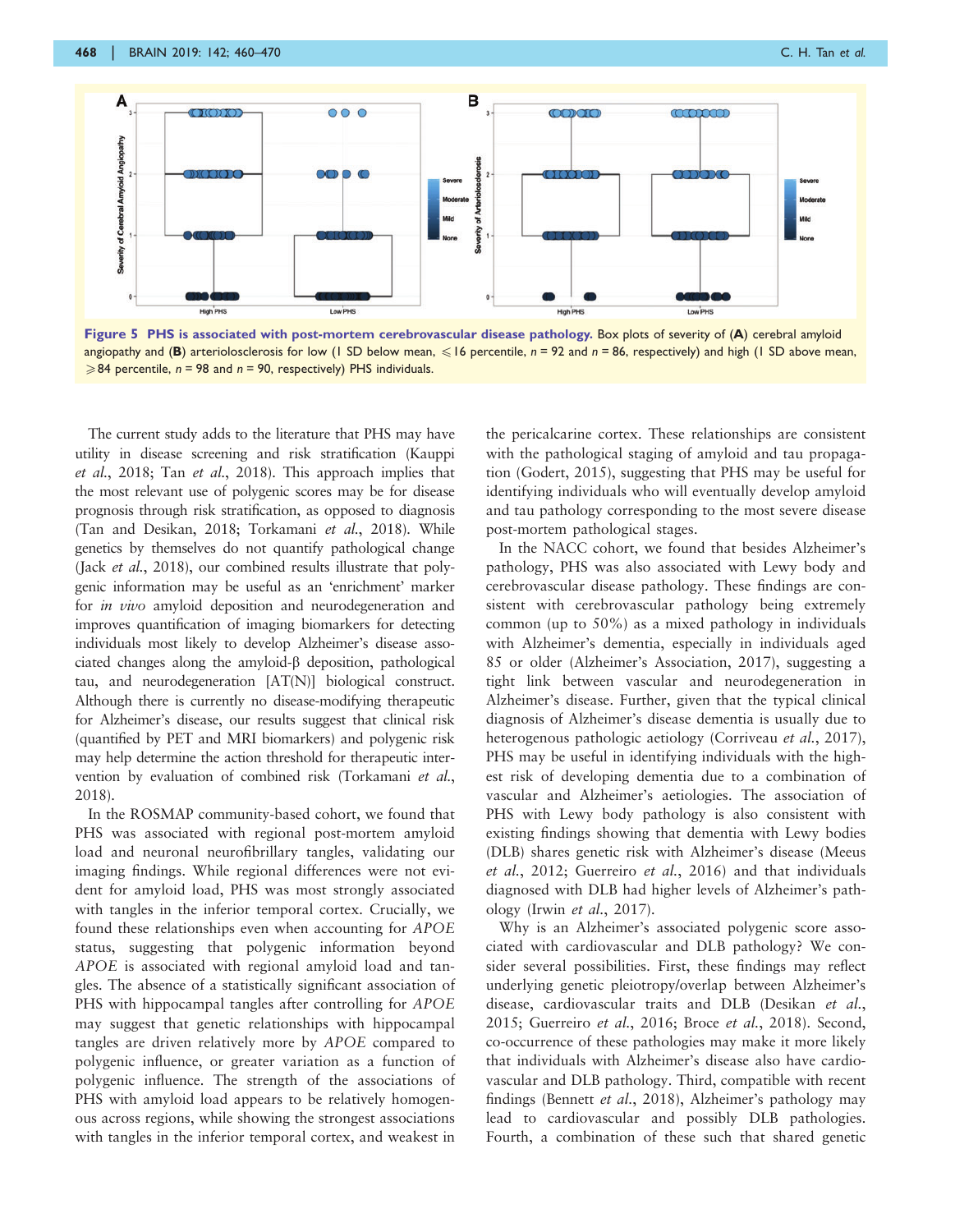<span id="page-8-0"></span>

Figure 5 PHS is associated with post-mortem cerebrovascular disease pathology. Box plots of severity of (A) cerebral amyloid angiopathy and (B) arteriolosclerosis for low (1 SD below mean,  $\leq 16$  percentile,  $n = 92$  and  $n = 86$ , respectively) and high (1 SD above mean,  $\geq$  84 percentile, n = 98 and n = 90, respectively) PHS individuals.

The current study adds to the literature that PHS may have utility in disease screening and risk stratification [\(Kauppi](#page-10-0) et al.[, 2018](#page-10-0); Tan et al.[, 2018\)](#page-10-0). This approach implies that the most relevant use of polygenic scores may be for disease prognosis through risk stratification, as opposed to diagnosis [\(Tan and Desikan, 2018; Torkamani](#page-10-0) et al., 2018). While genetics by themselves do not quantify pathological change (Jack et al.[, 2018](#page-10-0)), our combined results illustrate that polygenic information may be useful as an 'enrichment' marker for in vivo amyloid deposition and neurodegeneration and improves quantification of imaging biomarkers for detecting individuals most likely to develop Alzheimer's disease associated changes along the amyloid- $\beta$  deposition, pathological tau, and neurodegeneration [AT(N)] biological construct. Although there is currently no disease-modifying therapeutic for Alzheimer's disease, our results suggest that clinical risk (quantified by PET and MRI biomarkers) and polygenic risk may help determine the action threshold for therapeutic intervention by evaluation of combined risk [\(Torkamani](#page-10-0) et al., [2018](#page-10-0)).

In the ROSMAP community-based cohort, we found that PHS was associated with regional post-mortem amyloid load and neuronal neurofibrillary tangles, validating our imaging findings. While regional differences were not evident for amyloid load, PHS was most strongly associated with tangles in the inferior temporal cortex. Crucially, we found these relationships even when accounting for APOE status, suggesting that polygenic information beyond APOE is associated with regional amyloid load and tangles. The absence of a statistically significant association of PHS with hippocampal tangles after controlling for APOE may suggest that genetic relationships with hippocampal tangles are driven relatively more by APOE compared to polygenic influence, or greater variation as a function of polygenic influence. The strength of the associations of PHS with amyloid load appears to be relatively homogenous across regions, while showing the strongest associations with tangles in the inferior temporal cortex, and weakest in

the pericalcarine cortex. These relationships are consistent with the pathological staging of amyloid and tau propagation [\(Godert, 2015\)](#page-10-0), suggesting that PHS may be useful for identifying individuals who will eventually develop amyloid and tau pathology corresponding to the most severe disease post-mortem pathological stages.

In the NACC cohort, we found that besides Alzheimer's pathology, PHS was also associated with Lewy body and cerebrovascular disease pathology. These findings are consistent with cerebrovascular pathology being extremely common (up to 50%) as a mixed pathology in individuals with Alzheimer's dementia, especially in individuals aged 85 or older ([Alzheimer's Association, 2017](#page-9-0)), suggesting a tight link between vascular and neurodegeneration in Alzheimer's disease. Further, given that the typical clinical diagnosis of Alzheimer's disease dementia is usually due to heterogenous pathologic aetiology ([Corriveau](#page-9-0) et al., 2017), PHS may be useful in identifying individuals with the highest risk of developing dementia due to a combination of vascular and Alzheimer's aetiologies. The association of PHS with Lewy body pathology is also consistent with existing findings showing that dementia with Lewy bodies (DLB) shares genetic risk with Alzheimer's disease [\(Meeus](#page-10-0) et al.[, 2012; Guerreiro](#page-10-0) et al., 2016) and that individuals diagnosed with DLB had higher levels of Alzheimer's pathology (Irwin et al.[, 2017](#page-10-0)).

Why is an Alzheimer's associated polygenic score associated with cardiovascular and DLB pathology? We consider several possibilities. First, these findings may reflect underlying genetic pleiotropy/overlap between Alzheimer's disease, cardiovascular traits and DLB ([Desikan](#page-9-0) et al., [2015;](#page-9-0) [Guerreiro](#page-10-0) et al., 2016; Broce et al.[, 2018\)](#page-9-0). Second, co-occurrence of these pathologies may make it more likely that individuals with Alzheimer's disease also have cardiovascular and DLB pathology. Third, compatible with recent findings ([Bennett](#page-9-0) et al., 2018), Alzheimer's pathology may lead to cardiovascular and possibly DLB pathologies. Fourth, a combination of these such that shared genetic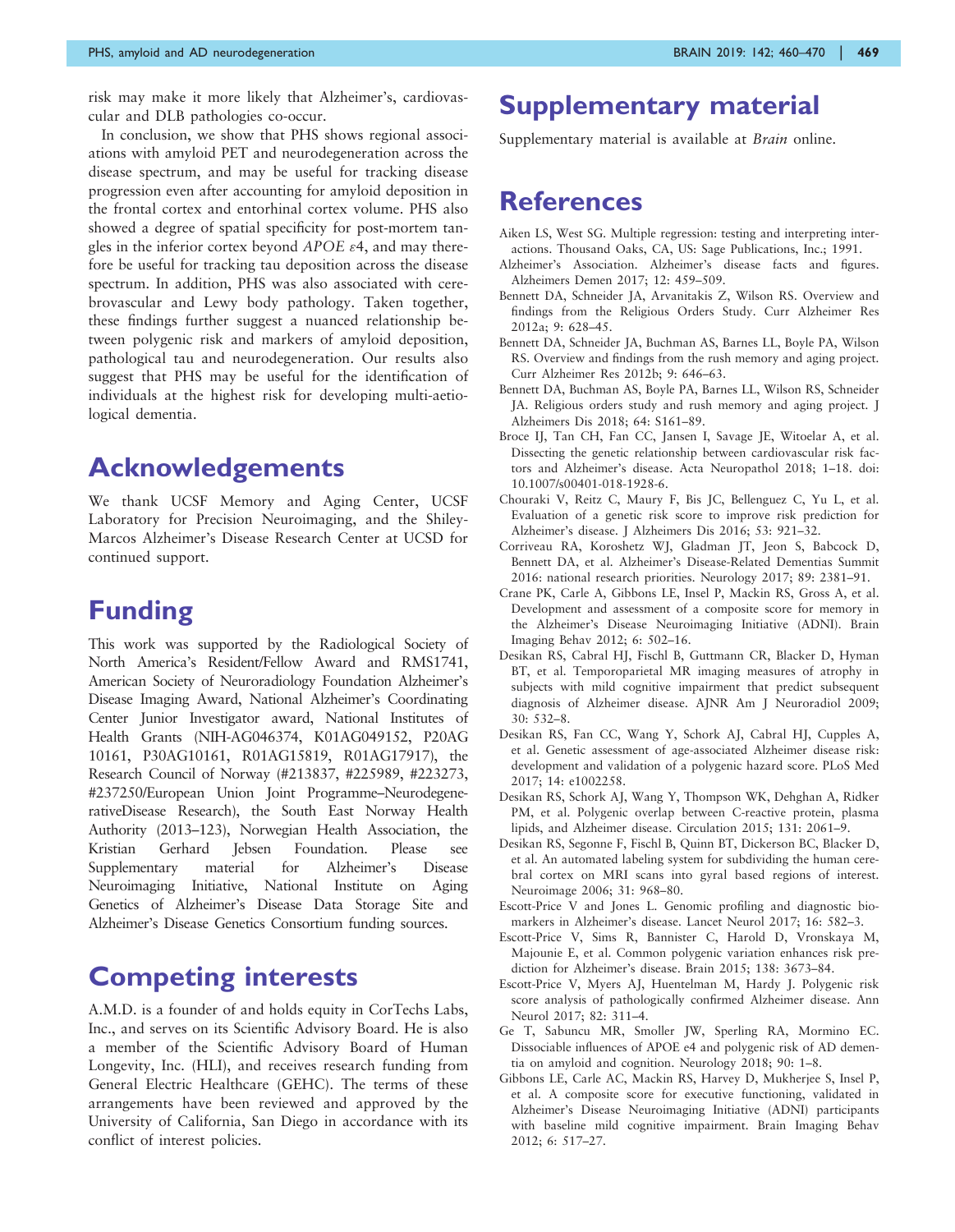<span id="page-9-0"></span>risk may make it more likely that Alzheimer's, cardiovascular and DLB pathologies co-occur.

In conclusion, we show that PHS shows regional associations with amyloid PET and neurodegeneration across the disease spectrum, and may be useful for tracking disease progression even after accounting for amyloid deposition in the frontal cortex and entorhinal cortex volume. PHS also showed a degree of spatial specificity for post-mortem tangles in the inferior cortex beyond APOE  $\varepsilon$ 4, and may therefore be useful for tracking tau deposition across the disease spectrum. In addition, PHS was also associated with cerebrovascular and Lewy body pathology. Taken together, these findings further suggest a nuanced relationship between polygenic risk and markers of amyloid deposition, pathological tau and neurodegeneration. Our results also suggest that PHS may be useful for the identification of individuals at the highest risk for developing multi-aetiological dementia.

# Acknowledgements

We thank UCSF Memory and Aging Center, UCSF Laboratory for Precision Neuroimaging, and the Shiley-Marcos Alzheimer's Disease Research Center at UCSD for continued support.

# Funding

This work was supported by the Radiological Society of North America's Resident/Fellow Award and RMS1741, American Society of Neuroradiology Foundation Alzheimer's Disease Imaging Award, National Alzheimer's Coordinating Center Junior Investigator award, National Institutes of Health Grants (NIH-AG046374, K01AG049152, P20AG 10161, P30AG10161, R01AG15819, R01AG17917), the Research Council of Norway (#213837, #225989, #223273, #237250/European Union Joint Programme–NeurodegenerativeDisease Research), the South East Norway Health Authority (2013–123), Norwegian Health Association, the Kristian Gerhard Jebsen Foundation. Please see [Supplementary material](https://academic.oup.com/brainj/article-lookup/doi/10.1093/brainj/awy327#supplementary-data) for Alzheimer's Disease Neuroimaging Initiative, National Institute on Aging Genetics of Alzheimer's Disease Data Storage Site and Alzheimer's Disease Genetics Consortium funding sources.

# Competing interests

A.M.D. is a founder of and holds equity in CorTechs Labs, Inc., and serves on its Scientific Advisory Board. He is also a member of the Scientific Advisory Board of Human Longevity, Inc. (HLI), and receives research funding from General Electric Healthcare (GEHC). The terms of these arrangements have been reviewed and approved by the University of California, San Diego in accordance with its conflict of interest policies.

# Supplementary material

[Supplementary material](https://academic.oup.com/brainj/article-lookup/doi/10.1093/brainj/awy327#supplementary-data) is available at *Brain* online.

# References

- Aiken LS, West SG. Multiple regression: testing and interpreting interactions. Thousand Oaks, CA, US: Sage Publications, Inc.; 1991.
- Alzheimer's Association. Alzheimer's disease facts and figures. Alzheimers Demen 2017; 12: 459–509.
- Bennett DA, Schneider JA, Arvanitakis Z, Wilson RS. Overview and findings from the Religious Orders Study. Curr Alzheimer Res 2012a; 9: 628–45.
- Bennett DA, Schneider JA, Buchman AS, Barnes LL, Boyle PA, Wilson RS. Overview and findings from the rush memory and aging project. Curr Alzheimer Res 2012b; 9: 646–63.
- Bennett DA, Buchman AS, Boyle PA, Barnes LL, Wilson RS, Schneider JA. Religious orders study and rush memory and aging project. J Alzheimers Dis 2018; 64: S161–89.
- Broce IJ, Tan CH, Fan CC, Jansen I, Savage JE, Witoelar A, et al. Dissecting the genetic relationship between cardiovascular risk factors and Alzheimer's disease. Acta Neuropathol 2018; 1–18. doi: 10.1007/s00401-018-1928-6.
- Chouraki V, Reitz C, Maury F, Bis JC, Bellenguez C, Yu L, et al. Evaluation of a genetic risk score to improve risk prediction for Alzheimer's disease. J Alzheimers Dis 2016; 53: 921–32.
- Corriveau RA, Koroshetz WJ, Gladman JT, Jeon S, Babcock D, Bennett DA, et al. Alzheimer's Disease-Related Dementias Summit 2016: national research priorities. Neurology 2017; 89: 2381–91.
- Crane PK, Carle A, Gibbons LE, Insel P, Mackin RS, Gross A, et al. Development and assessment of a composite score for memory in the Alzheimer's Disease Neuroimaging Initiative (ADNI). Brain Imaging Behav 2012; 6: 502–16.
- Desikan RS, Cabral HJ, Fischl B, Guttmann CR, Blacker D, Hyman BT, et al. Temporoparietal MR imaging measures of atrophy in subjects with mild cognitive impairment that predict subsequent diagnosis of Alzheimer disease. AJNR Am J Neuroradiol 2009;  $30 \cdot 532 - 8$
- Desikan RS, Fan CC, Wang Y, Schork AJ, Cabral HJ, Cupples A, et al. Genetic assessment of age-associated Alzheimer disease risk: development and validation of a polygenic hazard score. PLoS Med 2017; 14: e1002258.
- Desikan RS, Schork AJ, Wang Y, Thompson WK, Dehghan A, Ridker PM, et al. Polygenic overlap between C-reactive protein, plasma lipids, and Alzheimer disease. Circulation 2015; 131: 2061–9.
- Desikan RS, Segonne F, Fischl B, Quinn BT, Dickerson BC, Blacker D, et al. An automated labeling system for subdividing the human cerebral cortex on MRI scans into gyral based regions of interest. Neuroimage 2006; 31: 968–80.
- Escott-Price V and Jones L. Genomic profiling and diagnostic biomarkers in Alzheimer's disease. Lancet Neurol 2017; 16: 582–3.
- Escott-Price V, Sims R, Bannister C, Harold D, Vronskaya M, Majounie E, et al. Common polygenic variation enhances risk prediction for Alzheimer's disease. Brain 2015; 138: 3673–84.
- Escott-Price V, Myers AJ, Huentelman M, Hardy J. Polygenic risk score analysis of pathologically confirmed Alzheimer disease. Ann Neurol 2017; 82: 311–4.
- Ge T, Sabuncu MR, Smoller JW, Sperling RA, Mormino EC. Dissociable influences of APOE e4 and polygenic risk of AD dementia on amyloid and cognition. Neurology 2018; 90: 1–8.
- Gibbons LE, Carle AC, Mackin RS, Harvey D, Mukherjee S, Insel P, et al. A composite score for executive functioning, validated in Alzheimer's Disease Neuroimaging Initiative (ADNI) participants with baseline mild cognitive impairment. Brain Imaging Behav 2012; 6: 517–27.